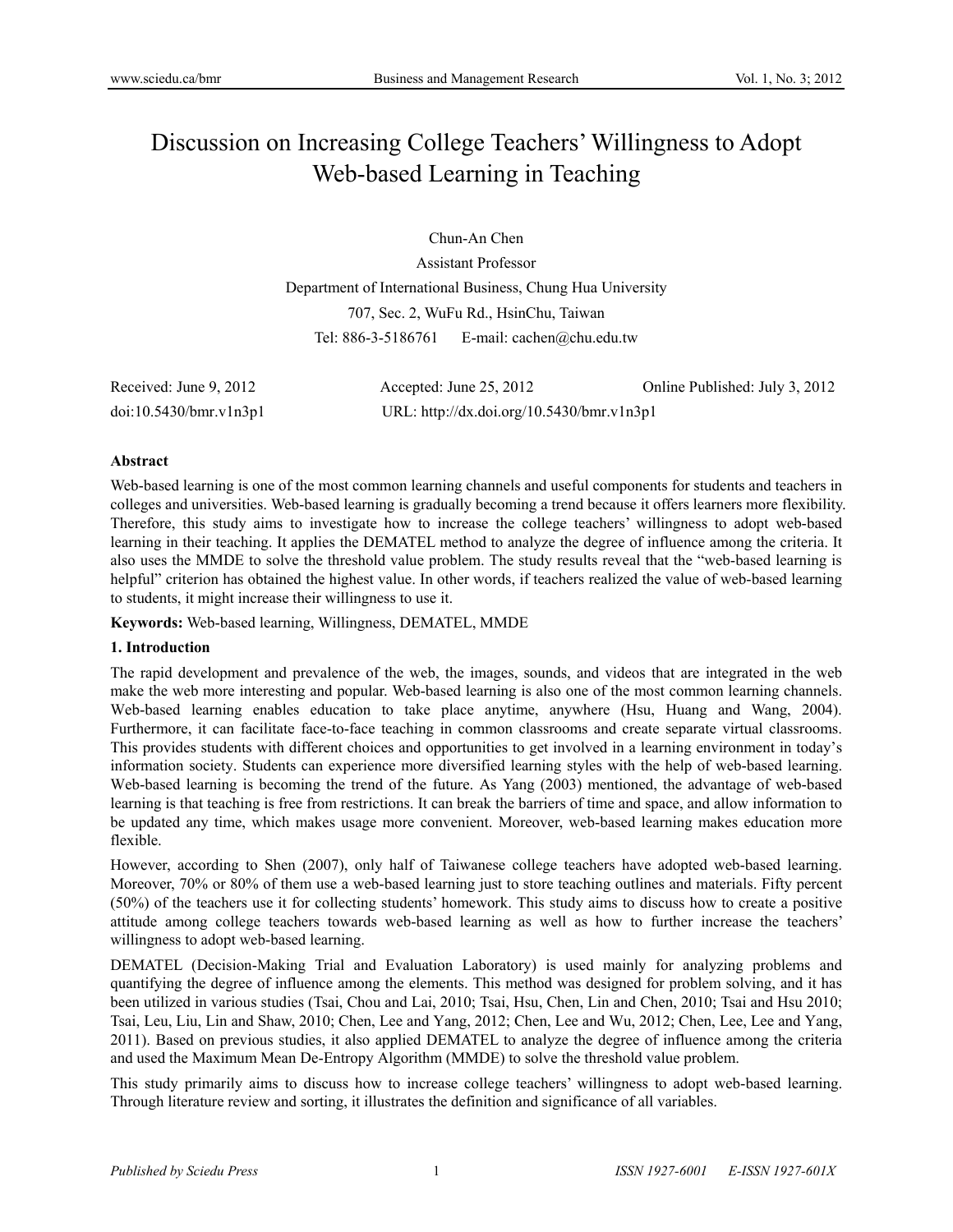# Discussion on Increasing College Teachers' Willingness to Adopt Web-based Learning in Teaching

Chun-An Chen Assistant Professor Department of International Business, Chung Hua University 707, Sec. 2, WuFu Rd., HsinChu, Taiwan Tel: 886-3-5186761 E-mail: cachen@chu.edu.tw

| Received: June 9, 2012 | Accepted: June $25, 2012$                 | Online Published: July 3, 2012 |
|------------------------|-------------------------------------------|--------------------------------|
| doi:10.5430/bmr.v1n3p1 | URL: http://dx.doi.org/10.5430/bmr.v1n3p1 |                                |

## **Abstract**

Web-based learning is one of the most common learning channels and useful components for students and teachers in colleges and universities. Web-based learning is gradually becoming a trend because it offers learners more flexibility. Therefore, this study aims to investigate how to increase the college teachers' willingness to adopt web-based learning in their teaching. It applies the DEMATEL method to analyze the degree of influence among the criteria. It also uses the MMDE to solve the threshold value problem. The study results reveal that the "web-based learning is helpful" criterion has obtained the highest value. In other words, if teachers realized the value of web-based learning to students, it might increase their willingness to use it.

**Keywords:** Web-based learning, Willingness, DEMATEL, MMDE

## **1. Introduction**

The rapid development and prevalence of the web, the images, sounds, and videos that are integrated in the web make the web more interesting and popular. Web-based learning is also one of the most common learning channels. Web-based learning enables education to take place anytime, anywhere (Hsu, Huang and Wang, 2004). Furthermore, it can facilitate face-to-face teaching in common classrooms and create separate virtual classrooms. This provides students with different choices and opportunities to get involved in a learning environment in today's information society. Students can experience more diversified learning styles with the help of web-based learning. Web-based learning is becoming the trend of the future. As Yang (2003) mentioned, the advantage of web-based learning is that teaching is free from restrictions. It can break the barriers of time and space, and allow information to be updated any time, which makes usage more convenient. Moreover, web-based learning makes education more flexible.

However, according to Shen (2007), only half of Taiwanese college teachers have adopted web-based learning. Moreover, 70% or 80% of them use a web-based learning just to store teaching outlines and materials. Fifty percent (50%) of the teachers use it for collecting students' homework. This study aims to discuss how to create a positive attitude among college teachers towards web-based learning as well as how to further increase the teachers' willingness to adopt web-based learning.

DEMATEL (Decision-Making Trial and Evaluation Laboratory) is used mainly for analyzing problems and quantifying the degree of influence among the elements. This method was designed for problem solving, and it has been utilized in various studies (Tsai, Chou and Lai, 2010; Tsai, Hsu, Chen, Lin and Chen, 2010; Tsai and Hsu 2010; Tsai, Leu, Liu, Lin and Shaw, 2010; Chen, Lee and Yang, 2012; Chen, Lee and Wu, 2012; Chen, Lee, Lee and Yang, 2011). Based on previous studies, it also applied DEMATEL to analyze the degree of influence among the criteria and used the Maximum Mean De-Entropy Algorithm (MMDE) to solve the threshold value problem.

This study primarily aims to discuss how to increase college teachers' willingness to adopt web-based learning. Through literature review and sorting, it illustrates the definition and significance of all variables.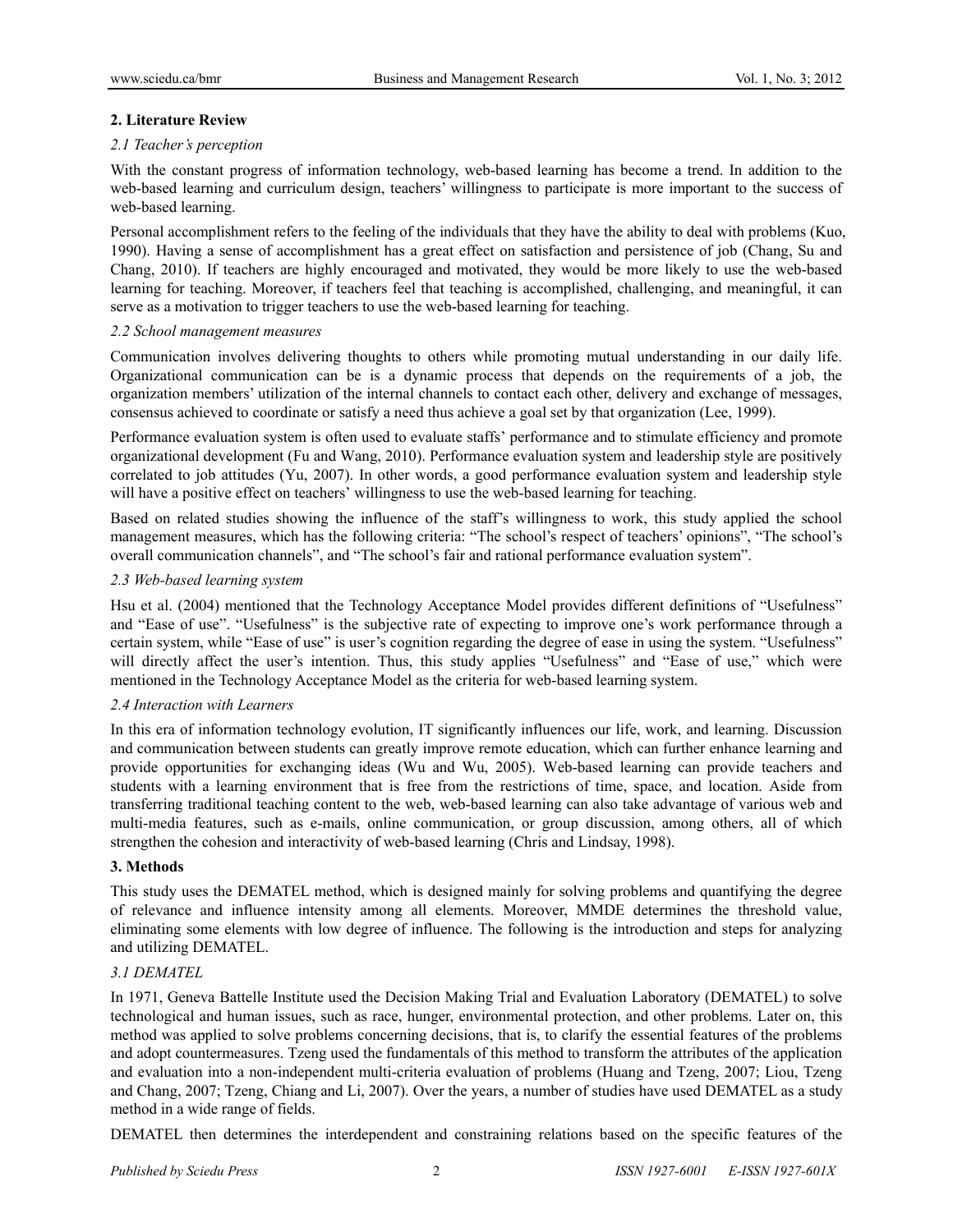## **2. Literature Review**

## *2.1 Teacher's perception*

With the constant progress of information technology, web-based learning has become a trend. In addition to the web-based learning and curriculum design, teachers' willingness to participate is more important to the success of web-based learning.

Personal accomplishment refers to the feeling of the individuals that they have the ability to deal with problems (Kuo, 1990). Having a sense of accomplishment has a great effect on satisfaction and persistence of job (Chang, Su and Chang, 2010). If teachers are highly encouraged and motivated, they would be more likely to use the web-based learning for teaching. Moreover, if teachers feel that teaching is accomplished, challenging, and meaningful, it can serve as a motivation to trigger teachers to use the web-based learning for teaching.

## *2.2 School management measures*

Communication involves delivering thoughts to others while promoting mutual understanding in our daily life. Organizational communication can be is a dynamic process that depends on the requirements of a job, the organization members' utilization of the internal channels to contact each other, delivery and exchange of messages, consensus achieved to coordinate or satisfy a need thus achieve a goal set by that organization (Lee, 1999).

Performance evaluation system is often used to evaluate staffs' performance and to stimulate efficiency and promote organizational development (Fu and Wang, 2010). Performance evaluation system and leadership style are positively correlated to job attitudes (Yu, 2007). In other words, a good performance evaluation system and leadership style will have a positive effect on teachers' willingness to use the web-based learning for teaching.

Based on related studies showing the influence of the staff's willingness to work, this study applied the school management measures, which has the following criteria: "The school's respect of teachers' opinions", "The school's overall communication channels", and "The school's fair and rational performance evaluation system".

## *2.3 Web-based learning system*

Hsu et al. (2004) mentioned that the Technology Acceptance Model provides different definitions of "Usefulness" and "Ease of use". "Usefulness" is the subjective rate of expecting to improve one's work performance through a certain system, while "Ease of use" is user's cognition regarding the degree of ease in using the system. "Usefulness" will directly affect the user's intention. Thus, this study applies "Usefulness" and "Ease of use," which were mentioned in the Technology Acceptance Model as the criteria for web-based learning system.

## *2.4 Interaction with Learners*

In this era of information technology evolution, IT significantly influences our life, work, and learning. Discussion and communication between students can greatly improve remote education, which can further enhance learning and provide opportunities for exchanging ideas (Wu and Wu, 2005). Web-based learning can provide teachers and students with a learning environment that is free from the restrictions of time, space, and location. Aside from transferring traditional teaching content to the web, web-based learning can also take advantage of various web and multi-media features, such as e-mails, online communication, or group discussion, among others, all of which strengthen the cohesion and interactivity of web-based learning (Chris and Lindsay, 1998).

## **3. Methods**

This study uses the DEMATEL method, which is designed mainly for solving problems and quantifying the degree of relevance and influence intensity among all elements. Moreover, MMDE determines the threshold value, eliminating some elements with low degree of influence. The following is the introduction and steps for analyzing and utilizing DEMATEL.

## *3.1 DEMATEL*

In 1971, Geneva Battelle Institute used the Decision Making Trial and Evaluation Laboratory (DEMATEL) to solve technological and human issues, such as race, hunger, environmental protection, and other problems. Later on, this method was applied to solve problems concerning decisions, that is, to clarify the essential features of the problems and adopt countermeasures. Tzeng used the fundamentals of this method to transform the attributes of the application and evaluation into a non-independent multi-criteria evaluation of problems (Huang and Tzeng, 2007; Liou, Tzeng and Chang, 2007; Tzeng, Chiang and Li, 2007). Over the years, a number of studies have used DEMATEL as a study method in a wide range of fields.

DEMATEL then determines the interdependent and constraining relations based on the specific features of the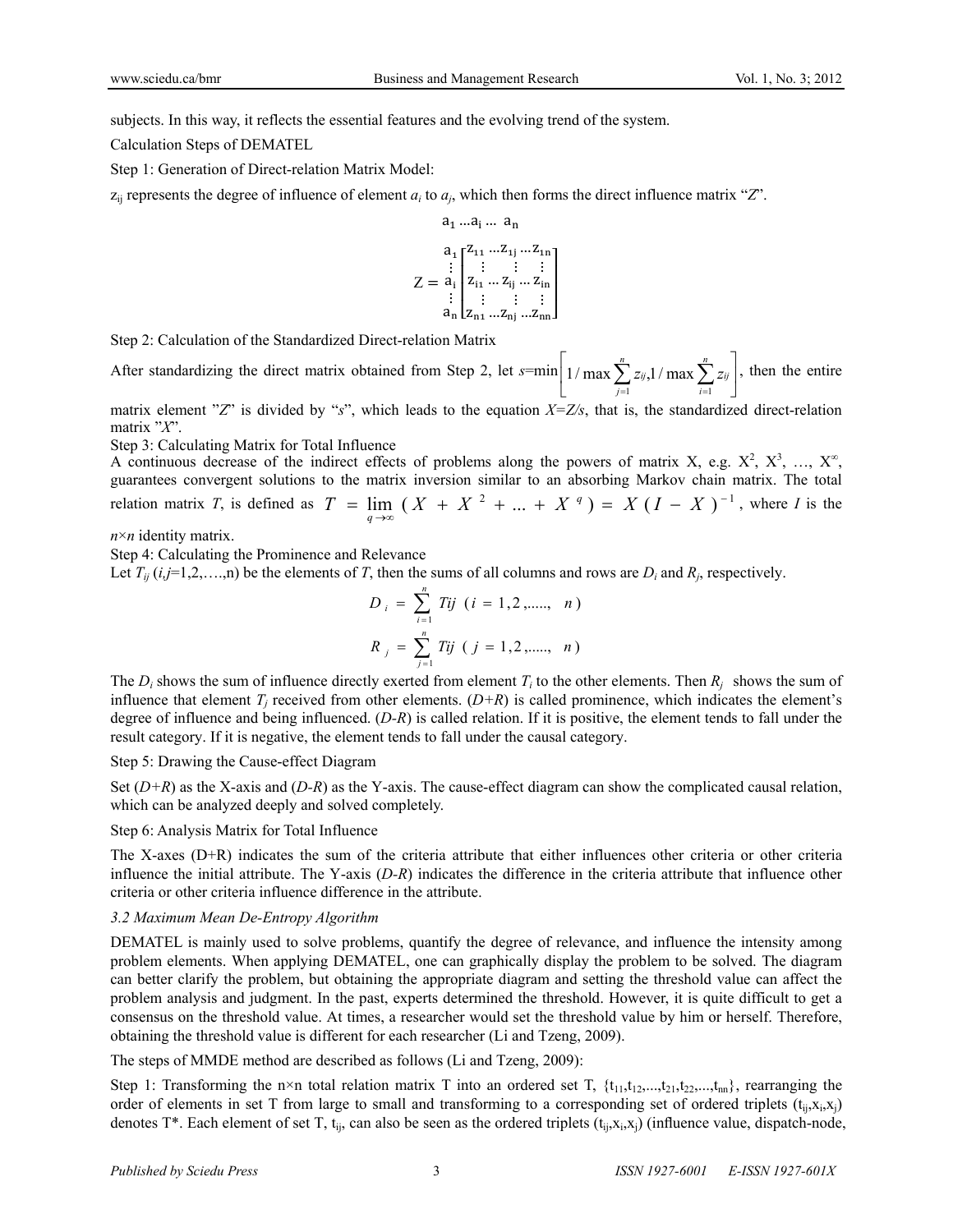subjects. In this way, it reflects the essential features and the evolving trend of the system.

Calculation Steps of DEMATEL

Step 1: Generation of Direct-relation Matrix Model:

 $z_{ij}$  represents the degree of influence of element  $a_i$  to  $a_j$ , which then forms the direct influence matrix " $Z$ ".

$$
a_1 ... a_i ... a_n
$$
  
\n
$$
a_1 \begin{bmatrix} z_{11} ... z_{1j} ... z_{1n} \\ \vdots \\ z_{i1} ... z_{ij} ... z_{in} \\ \vdots \\ z_{n1} \end{bmatrix}
$$
  
\n
$$
z = a_i \begin{bmatrix} z_{11} ... z_{1j} ... z_{1n} \\ \vdots \\ z_{n1} ... z_{nj} ... z_{nn} \end{bmatrix}
$$

Step 2: Calculation of the Standardized Direct-relation Matrix

After standardizing the direct matrix obtained from Step 2, let  $s = \min\left(1/\max\sum z_{ij,1}/\max\sum z_{ij}\right)$  $\rfloor$  $\left|1/\max\sum_{i=1}^{n} z_{ij}$ ,  $1/\max\sum_{i=1}^{n} z_{ij}\right|$  $1/\max \sum_{j=1}^{n} z_{ij}$ , 1 / max  $\sum_{i=1}^{n}$ *i ij n j*  $z_{ij}$ , 1 / max  $\sum z_i$  $i=1$  $1/\max \sum z_{ij}$ ,  $1/\max \sum z_{ij}$ , then the entire

matrix element "*Z*" is divided by "*s*", which leads to the equation *X=Z/s*, that is, the standardized direct-relation matrix "*X*".

Step 3: Calculating Matrix for Total Influence

A continuous decrease of the indirect effects of problems along the powers of matrix X, e.g.  $X^2$ ,  $X^3$ , ...,  $X^{\infty}$ , guarantees convergent solutions to the matrix inversion similar to an absorbing Markov chain matrix. The total relation matrix *T*, is defined as  $T = \lim_{q \to \infty} (X + X^2 + ... + X^q) = X(I - X)^{-1}$ , where *I* is the *q*

*n*×*n* identity matrix.

Step 4: Calculating the Prominence and Relevance

Let  $T_{ij}$  ( $i,j=1,2,...,n$ ) be the elements of *T*, then the sums of all columns and rows are  $D_i$  and  $R_j$ , respectively.

$$
D_{i} = \sum_{i=1}^{n} T_{ij} \quad (i = 1, 2, \dots, n)
$$

$$
R_{j} = \sum_{j=1}^{n} T_{ij} \quad (j = 1, 2, \dots, n)
$$

The  $D_i$  shows the sum of influence directly exerted from element  $T_i$  to the other elements. Then  $R_i$  shows the sum of influence that element  $T_i$  received from other elements.  $(D+R)$  is called prominence, which indicates the element's degree of influence and being influenced. (*D-R*) is called relation. If it is positive, the element tends to fall under the result category. If it is negative, the element tends to fall under the causal category.

Step 5: Drawing the Cause-effect Diagram

Set  $(D+R)$  as the X-axis and  $(D-R)$  as the Y-axis. The cause-effect diagram can show the complicated causal relation, which can be analyzed deeply and solved completely.

#### Step 6: Analysis Matrix for Total Influence

The X-axes (D+R) indicates the sum of the criteria attribute that either influences other criteria or other criteria influence the initial attribute. The Y-axis (*D-R*) indicates the difference in the criteria attribute that influence other criteria or other criteria influence difference in the attribute.

#### *3.2 Maximum Mean De-Entropy Algorithm*

DEMATEL is mainly used to solve problems, quantify the degree of relevance, and influence the intensity among problem elements. When applying DEMATEL, one can graphically display the problem to be solved. The diagram can better clarify the problem, but obtaining the appropriate diagram and setting the threshold value can affect the problem analysis and judgment. In the past, experts determined the threshold. However, it is quite difficult to get a consensus on the threshold value. At times, a researcher would set the threshold value by him or herself. Therefore, obtaining the threshold value is different for each researcher (Li and Tzeng, 2009).

The steps of MMDE method are described as follows (Li and Tzeng, 2009):

Step 1: Transforming the n×n total relation matrix T into an ordered set T,  $\{t_{11}, t_{12},...,t_{21}, t_{22},...,t_{nn}\}$ , rearranging the order of elements in set T from large to small and transforming to a corresponding set of ordered triplets  $(t_{ii},x_i,x_i)$ denotes T<sup>\*</sup>. Each element of set T,  $t_{ii}$ , can also be seen as the ordered triplets  $(t_{ii},x_i,x_i)$  (influence value, dispatch-node,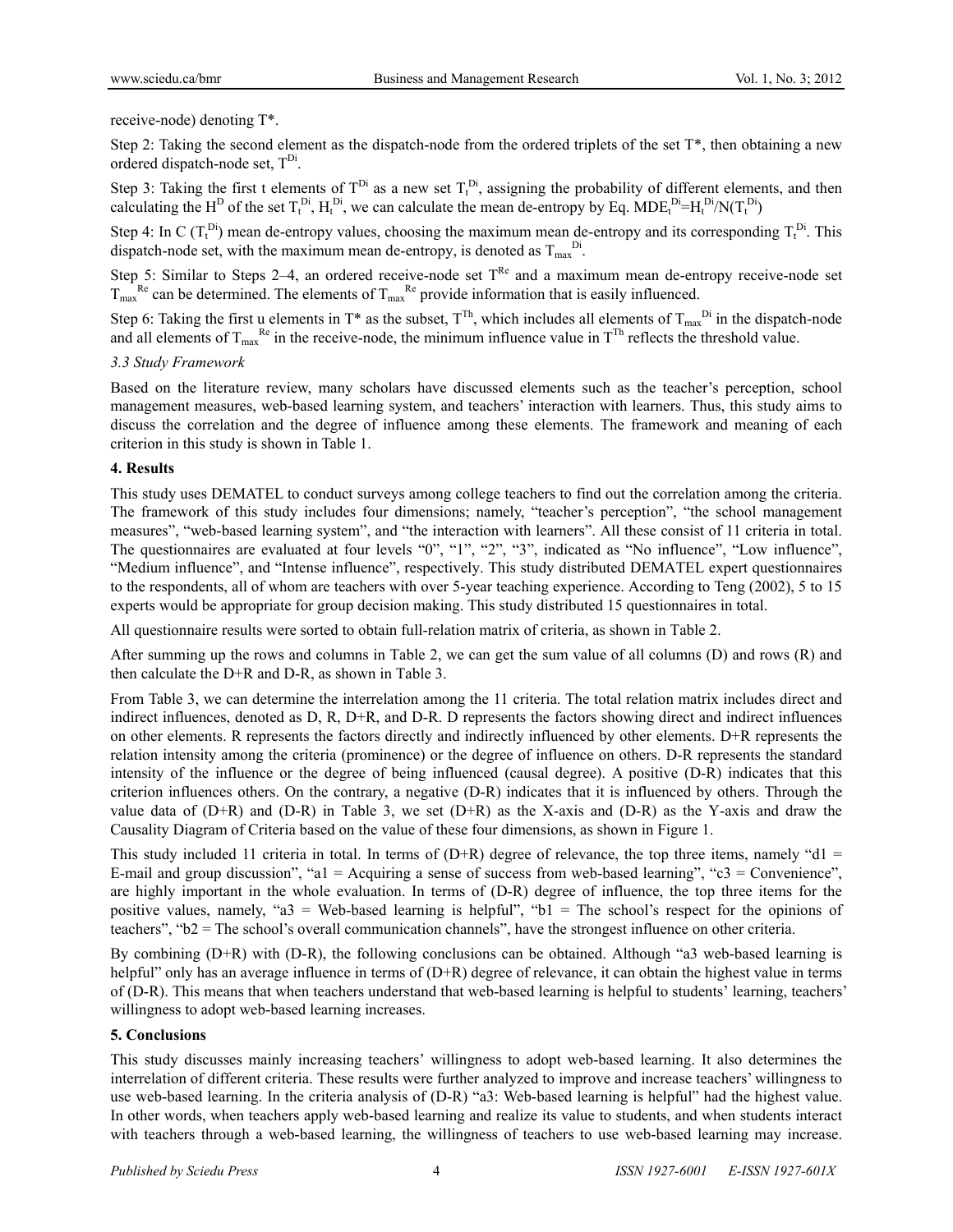## receive-node) denoting T\*.

Step 2: Taking the second element as the dispatch-node from the ordered triplets of the set  $T^*$ , then obtaining a new ordered dispatch-node set,  $T<sup>Di</sup>$ .

Step 3: Taking the first t elements of  $T^{Di}$  as a new set  $T_t^{Di}$ , assigning the probability of different elements, and then calculating the H<sup>D</sup> of the set  $T_t^{Di}$ ,  $H_t^{Di}$ , we can calculate the mean de-entropy by Eq. MDE $t^{Di} = H_t^{Di}/N(T_t^{Di})$ 

Step 4: In C ( $T_t^{Di}$ ) mean de-entropy values, choosing the maximum mean de-entropy and its corresponding  $T_t^{Di}$ . This dispatch-node set, with the maximum mean de-entropy, is denoted as  $T_{\text{max}}^{\text{Di}}$ .

Step 5: Similar to Steps 2–4, an ordered receive-node set  $T^{Re}$  and a maximum mean de-entropy receive-node set  $T_{\text{max}}^{\text{Re}}$  can be determined. The elements of  $T_{\text{max}}^{\text{Re}}$  provide information that is easily influenced.

Step 6: Taking the first u elements in T\* as the subset,  $T^{Th}$ , which includes all elements of  $T_{max}^{Di}$  in the dispatch-node and all elements of  $T_{\text{max}}^{Re}$  in the receive-node, the minimum influence value in  $T^{Th}$  reflects the threshold value.

## *3.3 Study Framework*

Based on the literature review, many scholars have discussed elements such as the teacher's perception, school management measures, web-based learning system, and teachers' interaction with learners. Thus, this study aims to discuss the correlation and the degree of influence among these elements. The framework and meaning of each criterion in this study is shown in Table 1.

## **4. Results**

This study uses DEMATEL to conduct surveys among college teachers to find out the correlation among the criteria. The framework of this study includes four dimensions; namely, "teacher's perception", "the school management measures", "web-based learning system", and "the interaction with learners". All these consist of 11 criteria in total. The questionnaires are evaluated at four levels "0", "1", "2", "3", indicated as "No influence", "Low influence", "Medium influence", and "Intense influence", respectively. This study distributed DEMATEL expert questionnaires to the respondents, all of whom are teachers with over 5-year teaching experience. According to Teng (2002), 5 to 15 experts would be appropriate for group decision making. This study distributed 15 questionnaires in total.

All questionnaire results were sorted to obtain full-relation matrix of criteria, as shown in Table 2.

After summing up the rows and columns in Table 2, we can get the sum value of all columns (D) and rows (R) and then calculate the D+R and D-R, as shown in Table 3.

From Table 3, we can determine the interrelation among the 11 criteria. The total relation matrix includes direct and indirect influences, denoted as D, R, D+R, and D-R. D represents the factors showing direct and indirect influences on other elements. R represents the factors directly and indirectly influenced by other elements. D+R represents the relation intensity among the criteria (prominence) or the degree of influence on others. D-R represents the standard intensity of the influence or the degree of being influenced (causal degree). A positive (D-R) indicates that this criterion influences others. On the contrary, a negative (D-R) indicates that it is influenced by others. Through the value data of  $(D+R)$  and  $(D-R)$  in Table 3, we set  $(D+R)$  as the X-axis and  $(D-R)$  as the Y-axis and draw the Causality Diagram of Criteria based on the value of these four dimensions, as shown in Figure 1.

This study included 11 criteria in total. In terms of  $(D+R)$  degree of relevance, the top three items, namely "d1 = E-mail and group discussion", "a1 = Acquiring a sense of success from web-based learning", "c3 = Convenience", are highly important in the whole evaluation. In terms of (D-R) degree of influence, the top three items for the positive values, namely, "a3 = Web-based learning is helpful", "b1 = The school's respect for the opinions of teachers", "b2 = The school's overall communication channels", have the strongest influence on other criteria.

By combining (D+R) with (D-R), the following conclusions can be obtained. Although "a3 web-based learning is helpful" only has an average influence in terms of (D+R) degree of relevance, it can obtain the highest value in terms of (D-R). This means that when teachers understand that web-based learning is helpful to students' learning, teachers' willingness to adopt web-based learning increases.

## **5. Conclusions**

This study discusses mainly increasing teachers' willingness to adopt web-based learning. It also determines the interrelation of different criteria. These results were further analyzed to improve and increase teachers' willingness to use web-based learning. In the criteria analysis of (D-R) "a3: Web-based learning is helpful" had the highest value. In other words, when teachers apply web-based learning and realize its value to students, and when students interact with teachers through a web-based learning, the willingness of teachers to use web-based learning may increase.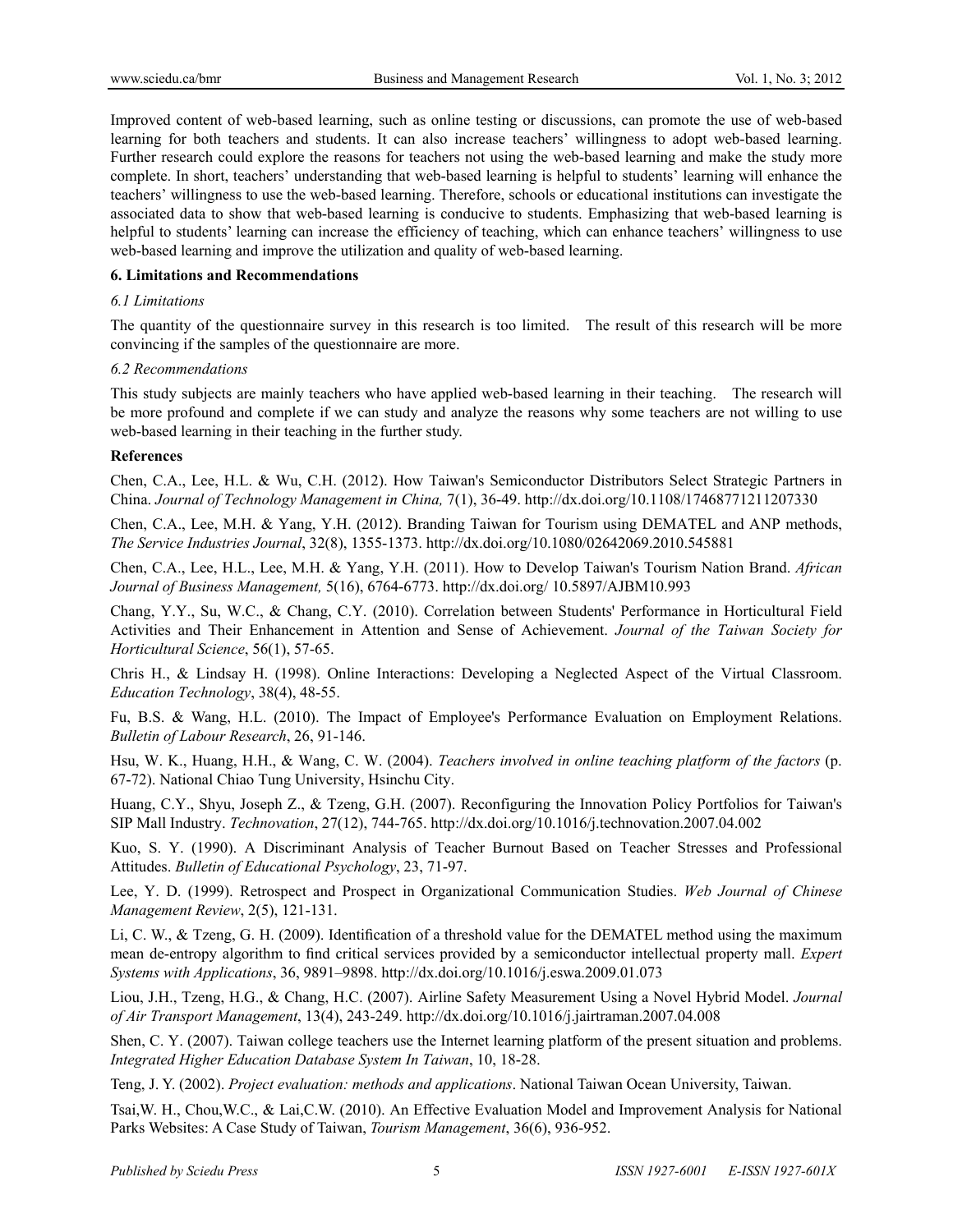Improved content of web-based learning, such as online testing or discussions, can promote the use of web-based learning for both teachers and students. It can also increase teachers' willingness to adopt web-based learning. Further research could explore the reasons for teachers not using the web-based learning and make the study more complete. In short, teachers' understanding that web-based learning is helpful to students' learning will enhance the teachers' willingness to use the web-based learning. Therefore, schools or educational institutions can investigate the associated data to show that web-based learning is conducive to students. Emphasizing that web-based learning is helpful to students' learning can increase the efficiency of teaching, which can enhance teachers' willingness to use web-based learning and improve the utilization and quality of web-based learning.

### **6. Limitations and Recommendations**

### *6.1 Limitations*

The quantity of the questionnaire survey in this research is too limited. The result of this research will be more convincing if the samples of the questionnaire are more.

### *6.2 Recommendations*

This study subjects are mainly teachers who have applied web-based learning in their teaching. The research will be more profound and complete if we can study and analyze the reasons why some teachers are not willing to use web-based learning in their teaching in the further study.

#### **References**

Chen, C.A., Lee, H.L. & Wu, C.H. (2012). How Taiwan's Semiconductor Distributors Select Strategic Partners in China. *Journal of Technology Management in China,* 7(1), 36-49. http://dx.doi.org/10.1108/17468771211207330

Chen, C.A., Lee, M.H. & Yang, Y.H. (2012). Branding Taiwan for Tourism using DEMATEL and ANP methods, *The Service Industries Journal*, 32(8), 1355-1373. http://dx.doi.org/10.1080/02642069.2010.545881

Chen, C.A., Lee, H.L., Lee, M.H. & Yang, Y.H. (2011). How to Develop Taiwan's Tourism Nation Brand. *African Journal of Business Management,* 5(16), 6764-6773. http://dx.doi.org/ 10.5897/AJBM10.993

Chang, Y.Y., Su, W.C., & Chang, C.Y. (2010). Correlation between Students' Performance in Horticultural Field Activities and Their Enhancement in Attention and Sense of Achievement. *Journal of the Taiwan Society for Horticultural Science*, 56(1), 57-65.

Chris H., & Lindsay H. (1998). Online Interactions: Developing a Neglected Aspect of the Virtual Classroom. *Education Technology*, 38(4), 48-55.

Fu, B.S. & Wang, H.L. (2010). The Impact of Employee's Performance Evaluation on Employment Relations. *Bulletin of Labour Research*, 26, 91-146.

Hsu, W. K., Huang, H.H., & Wang, C. W. (2004). *Teachers involved in online teaching platform of the factors* (p. 67-72). National Chiao Tung University, Hsinchu City.

Huang, C.Y., Shyu, Joseph Z., & Tzeng, G.H. (2007). Reconfiguring the Innovation Policy Portfolios for Taiwan's SIP Mall Industry. *Technovation*, 27(12), 744-765. http://dx.doi.org/10.1016/j.technovation.2007.04.002

Kuo, S. Y. (1990). A Discriminant Analysis of Teacher Burnout Based on Teacher Stresses and Professional Attitudes. *Bulletin of Educational Psychology*, 23, 71-97.

Lee, Y. D. (1999). Retrospect and Prospect in Organizational Communication Studies. *Web Journal of Chinese Management Review*, 2(5), 121-131.

Li, C. W., & Tzeng, G. H. (2009). Identification of a threshold value for the DEMATEL method using the maximum mean de-entropy algorithm to find critical services provided by a semiconductor intellectual property mall. *Expert Systems with Applications*, 36, 9891–9898. http://dx.doi.org/10.1016/j.eswa.2009.01.073

Liou, J.H., Tzeng, H.G., & Chang, H.C. (2007). Airline Safety Measurement Using a Novel Hybrid Model. *Journal of Air Transport Management*, 13(4), 243-249. http://dx.doi.org/10.1016/j.jairtraman.2007.04.008

Shen, C. Y. (2007). Taiwan college teachers use the Internet learning platform of the present situation and problems. *Integrated Higher Education Database System In Taiwan*, 10, 18-28.

Teng, J. Y. (2002). *Project evaluation: methods and applications*. National Taiwan Ocean University, Taiwan.

Tsai,W. H., Chou,W.C., & Lai,C.W. (2010). An Effective Evaluation Model and Improvement Analysis for National Parks Websites: A Case Study of Taiwan, *Tourism Management*, 36(6), 936-952.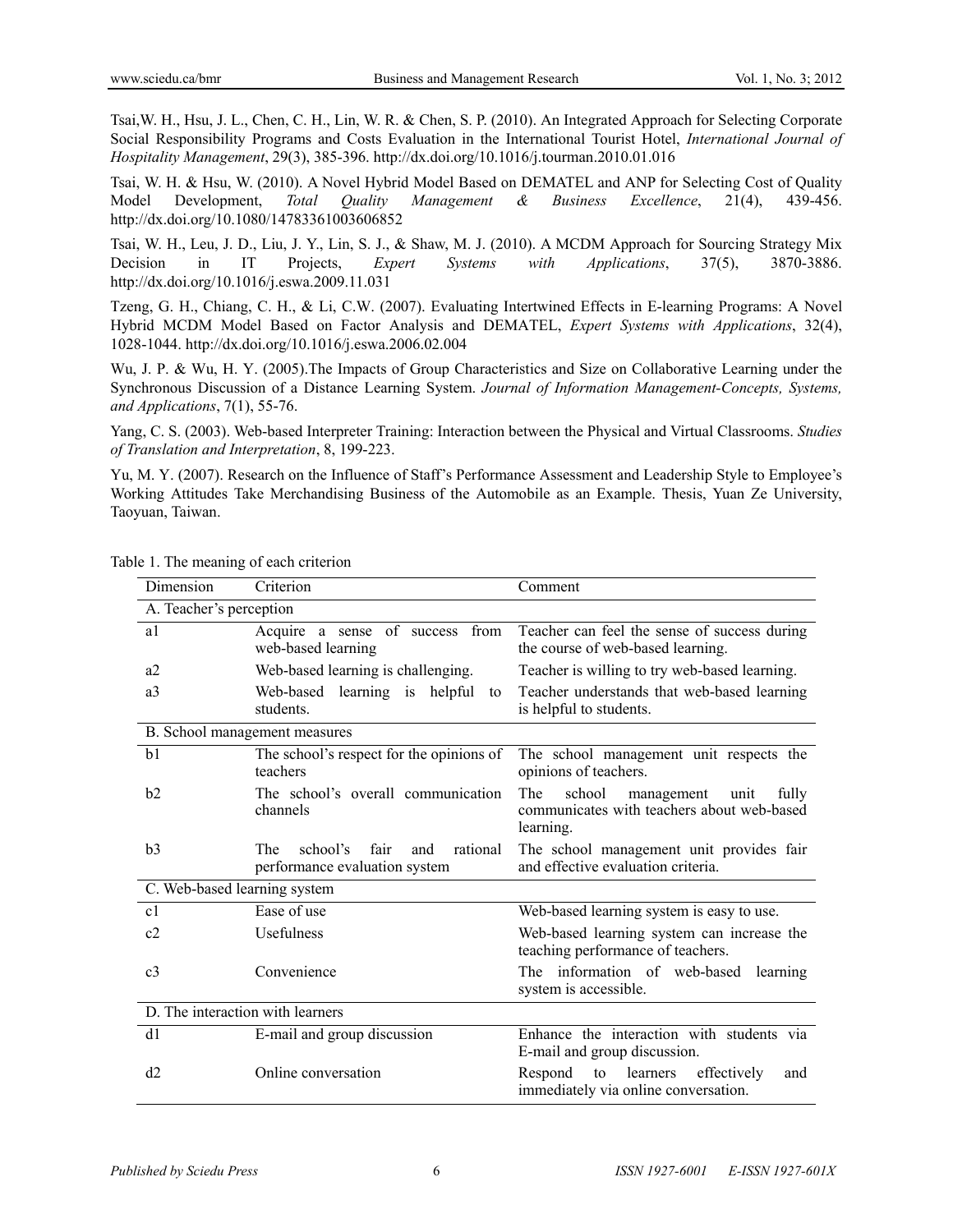Tsai,W. H., Hsu, J. L., Chen, C. H., Lin, W. R. & Chen, S. P. (2010). An Integrated Approach for Selecting Corporate Social Responsibility Programs and Costs Evaluation in the International Tourist Hotel, *International Journal of Hospitality Management*, 29(3), 385-396. http://dx.doi.org/10.1016/j.tourman.2010.01.016

Tsai, W. H. & Hsu, W. (2010). A Novel Hybrid Model Based on DEMATEL and ANP for Selecting Cost of Quality Model Development, *Total Quality Management & Business Excellence*, 21(4), 439-456. http://dx.doi.org/10.1080/14783361003606852

Tsai, W. H., Leu, J. D., Liu, J. Y., Lin, S. J., & Shaw, M. J. (2010). A MCDM Approach for Sourcing Strategy Mix Decision in IT Projects, *Expert Systems with Applications*, 37(5), 3870-3886. http://dx.doi.org/10.1016/j.eswa.2009.11.031

Tzeng, G. H., Chiang, C. H., & Li, C.W. (2007). Evaluating Intertwined Effects in E-learning Programs: A Novel Hybrid MCDM Model Based on Factor Analysis and DEMATEL, *Expert Systems with Applications*, 32(4), 1028-1044. http://dx.doi.org/10.1016/j.eswa.2006.02.004

Wu, J. P. & Wu, H. Y. (2005).The Impacts of Group Characteristics and Size on Collaborative Learning under the Synchronous Discussion of a Distance Learning System. *Journal of Information Management-Concepts, Systems, and Applications*, 7(1), 55-76.

Yang, C. S. (2003). Web-based Interpreter Training: Interaction between the Physical and Virtual Classrooms. *Studies of Translation and Interpretation*, 8, 199-223.

Yu, M. Y. (2007). Research on the Influence of Staff's Performance Assessment and Leadership Style to Employee's Working Attitudes Take Merchandising Business of the Automobile as an Example. Thesis, Yuan Ze University, Taoyuan, Taiwan.

| Dimension                        | Criterion                                                                          | Comment                                                                                                 |  |  |  |  |
|----------------------------------|------------------------------------------------------------------------------------|---------------------------------------------------------------------------------------------------------|--|--|--|--|
| A. Teacher's perception          |                                                                                    |                                                                                                         |  |  |  |  |
| a1                               | Acquire a sense of success from<br>web-based learning                              | Teacher can feel the sense of success during<br>the course of web-based learning.                       |  |  |  |  |
| a2                               | Web-based learning is challenging.                                                 | Teacher is willing to try web-based learning.                                                           |  |  |  |  |
| a <sub>3</sub>                   | Web-based learning is helpful<br>to<br>students.                                   | Teacher understands that web-based learning<br>is helpful to students.                                  |  |  |  |  |
|                                  | B. School management measures                                                      |                                                                                                         |  |  |  |  |
| b <sub>1</sub>                   | The school's respect for the opinions of<br>teachers                               | The school management unit respects the<br>opinions of teachers.                                        |  |  |  |  |
| h2                               | The school's overall communication<br>channels                                     | The<br>school<br>fully<br>management<br>unit<br>communicates with teachers about web-based<br>learning. |  |  |  |  |
| b <sub>3</sub>                   | <b>The</b><br>school's<br>rational<br>fair<br>and<br>performance evaluation system | The school management unit provides fair<br>and effective evaluation criteria.                          |  |  |  |  |
| C. Web-based learning system     |                                                                                    |                                                                                                         |  |  |  |  |
| c1                               | Ease of use                                                                        | Web-based learning system is easy to use.                                                               |  |  |  |  |
| c2                               | Usefulness                                                                         | Web-based learning system can increase the<br>teaching performance of teachers.                         |  |  |  |  |
| c <sub>3</sub>                   | Convenience                                                                        | The information of web-based learning<br>system is accessible.                                          |  |  |  |  |
| D. The interaction with learners |                                                                                    |                                                                                                         |  |  |  |  |
| d1                               | E-mail and group discussion                                                        | Enhance the interaction with students via<br>E-mail and group discussion.                               |  |  |  |  |
| d2                               | Online conversation                                                                | learners<br>Respond<br>to<br>effectively<br>and<br>immediately via online conversation.                 |  |  |  |  |

Table 1. The meaning of each criterion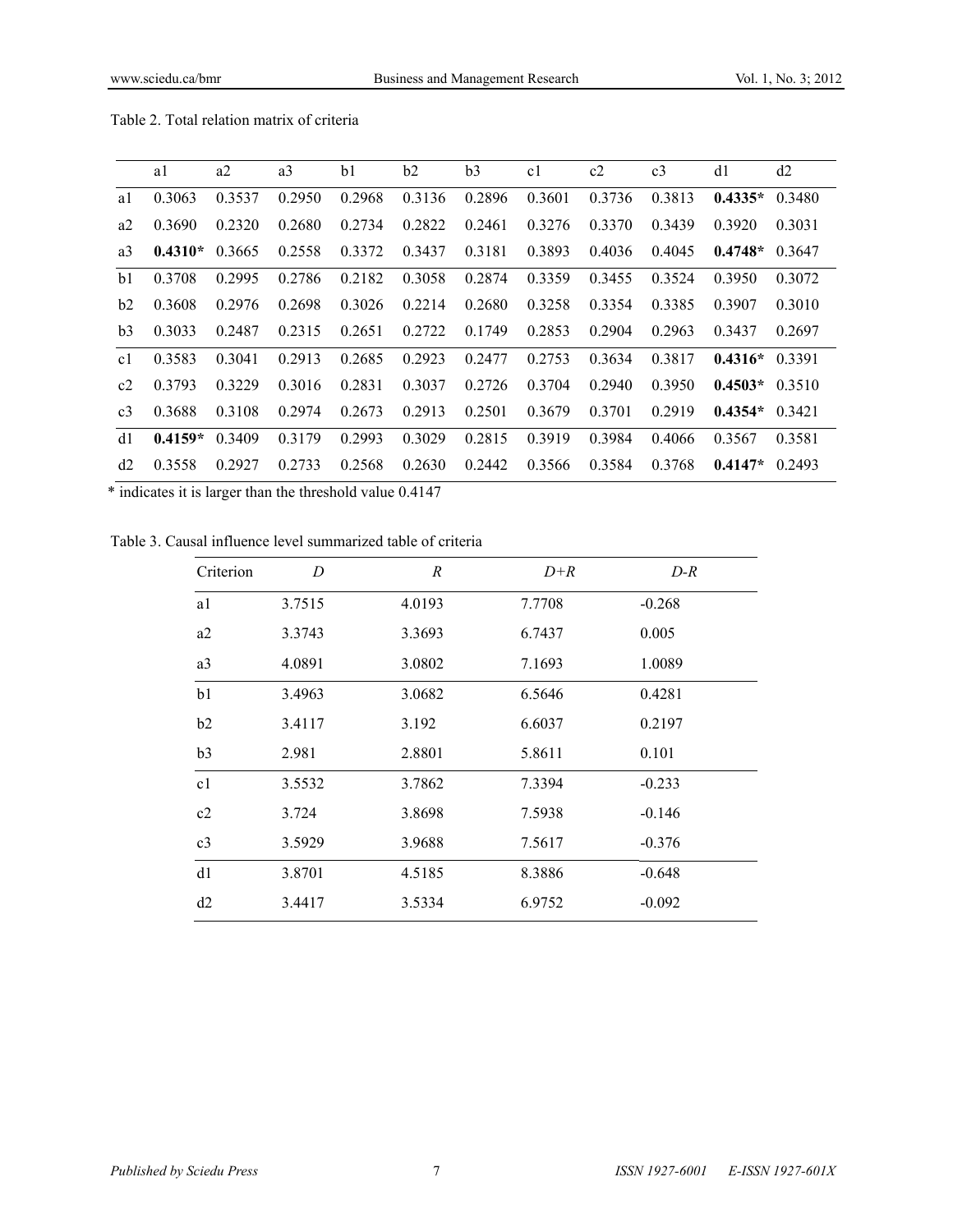|                | a1        | a2     | a <sub>3</sub> | b1     | b2     | b <sub>3</sub> | c <sub>1</sub> | c2     | c <sub>3</sub> | d1        | d2        |
|----------------|-----------|--------|----------------|--------|--------|----------------|----------------|--------|----------------|-----------|-----------|
| a1             | 0.3063    | 0.3537 | 0.2950         | 0.2968 | 0.3136 | 0.2896         | 0.3601         | 0.3736 | 0.3813         | $0.4335*$ | 0.3480    |
| a2             | 0.3690    | 0.2320 | 0.2680         | 0.2734 | 0.2822 | 0.2461         | 0.3276         | 0.3370 | 0.3439         | 0.3920    | 0.3031    |
| a <sub>3</sub> | $0.4310*$ | 0.3665 | 0.2558         | 0.3372 | 0.3437 | 0.3181         | 0.3893         | 0.4036 | 0.4045         | $0.4748*$ | 0.3647    |
| b1             | 0.3708    | 0.2995 | 0.2786         | 0.2182 | 0.3058 | 0.2874         | 0.3359         | 0.3455 | 0.3524         | 0.3950    | 0.3072    |
| b2             | 0.3608    | 0.2976 | 0.2698         | 0.3026 | 0.2214 | 0.2680         | 0.3258         | 0.3354 | 0.3385         | 0.3907    | 0.3010    |
| b <sub>3</sub> | 0.3033    | 0.2487 | 0.2315         | 0.2651 | 0.2722 | 0.1749         | 0.2853         | 0.2904 | 0.2963         | 0.3437    | 0.2697    |
| c1             | 0.3583    | 0.3041 | 0.2913         | 0.2685 | 0.2923 | 0.2477         | 0.2753         | 0.3634 | 0.3817         | $0.4316*$ | 0.3391    |
| c2             | 0.3793    | 0.3229 | 0.3016         | 0.2831 | 0.3037 | 0.2726         | 0.3704         | 0.2940 | 0.3950         | $0.4503*$ | 0.3510    |
| c <sub>3</sub> | 0.3688    | 0.3108 | 0.2974         | 0.2673 | 0.2913 | 0.2501         | 0.3679         | 0.3701 | 0.2919         | $0.4354*$ | 0 3 4 2 1 |
| d1             | $0.4159*$ | 0.3409 | 0.3179         | 0.2993 | 0.3029 | 0.2815         | 0.3919         | 0.3984 | 0.4066         | 0.3567    | 0.3581    |
| d2             | 0.3558    | 0.2927 | 0.2733         | 0.2568 | 0.2630 | 0.2442         | 0.3566         | 0.3584 | 0.3768         | $0.4147*$ | 0.2493    |

Table 2. Total relation matrix of criteria

\* indicates it is larger than the threshold value 0.4147

Table 3. Causal influence level summarized table of criteria

| Criterion      | D      | $\boldsymbol{R}$ | $D+R$  | $D-R$    |
|----------------|--------|------------------|--------|----------|
| a1             | 3.7515 | 4.0193           | 7.7708 | $-0.268$ |
| a2             | 3.3743 | 3.3693           | 6.7437 | 0.005    |
| a3             | 4.0891 | 3.0802           | 7.1693 | 1.0089   |
| b1             | 3.4963 | 3.0682           | 6.5646 | 0.4281   |
| b2             | 3.4117 | 3.192            | 6.6037 | 0.2197   |
| b3             | 2.981  | 2.8801           | 5.8611 | 0.101    |
| c1             | 3.5532 | 3.7862           | 7.3394 | $-0.233$ |
| c2             | 3.724  | 3.8698           | 7.5938 | $-0.146$ |
| c <sub>3</sub> | 3.5929 | 3.9688           | 7.5617 | $-0.376$ |
| d1             | 3.8701 | 4.5185           | 8.3886 | $-0.648$ |
| d2             | 3.4417 | 3.5334           | 6.9752 | $-0.092$ |